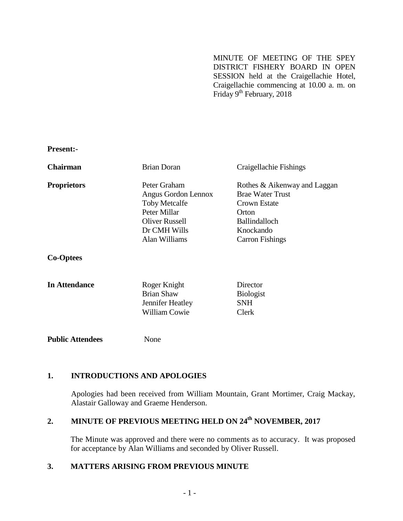MINUTE OF MEETING OF THE SPEY DISTRICT FISHERY BOARD IN OPEN SESSION held at the Craigellachie Hotel, Craigellachie commencing at 10.00 a. m. on Friday 9<sup>th</sup> February, 2018

**Present:-**

| <b>Chairman</b>    | Brian Doran                                                                                                                    | Craigellachie Fishings                                                                                                                          |
|--------------------|--------------------------------------------------------------------------------------------------------------------------------|-------------------------------------------------------------------------------------------------------------------------------------------------|
| <b>Proprietors</b> | Peter Graham<br>Angus Gordon Lennox<br><b>Toby Metcalfe</b><br>Peter Millar<br>Oliver Russell<br>Dr CMH Wills<br>Alan Williams | Rothes & Aikenway and Laggan<br><b>Brae Water Trust</b><br>Crown Estate<br>Orton<br><b>Ballindalloch</b><br>Knockando<br><b>Carron Fishings</b> |
| <b>Co-Optees</b>   |                                                                                                                                |                                                                                                                                                 |

| In Attendance | Roger Knight      | Director         |
|---------------|-------------------|------------------|
|               | <b>Brian Shaw</b> | <b>Biologist</b> |
|               | Jennifer Heatley  | <b>SNH</b>       |
|               | William Cowie     | <b>Clerk</b>     |
|               |                   |                  |

**Public Attendees** None

# **1. INTRODUCTIONS AND APOLOGIES**

Apologies had been received from William Mountain, Grant Mortimer, Craig Mackay, Alastair Galloway and Graeme Henderson.

# **2. MINUTE OF PREVIOUS MEETING HELD ON 24th NOVEMBER, 2017**

The Minute was approved and there were no comments as to accuracy. It was proposed for acceptance by Alan Williams and seconded by Oliver Russell.

# **3. MATTERS ARISING FROM PREVIOUS MINUTE**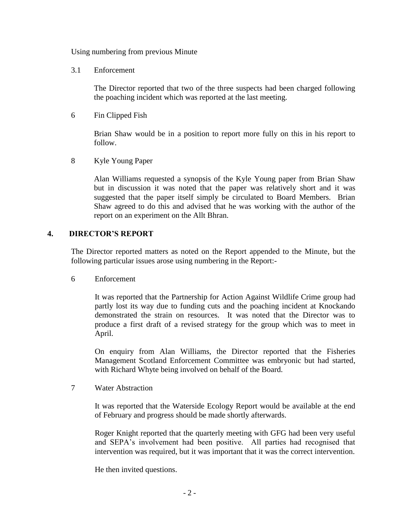Using numbering from previous Minute

3.1 Enforcement

The Director reported that two of the three suspects had been charged following the poaching incident which was reported at the last meeting.

6 Fin Clipped Fish

Brian Shaw would be in a position to report more fully on this in his report to follow.

8 Kyle Young Paper

Alan Williams requested a synopsis of the Kyle Young paper from Brian Shaw but in discussion it was noted that the paper was relatively short and it was suggested that the paper itself simply be circulated to Board Members. Brian Shaw agreed to do this and advised that he was working with the author of the report on an experiment on the Allt Bhran.

#### **4. DIRECTOR'S REPORT**

The Director reported matters as noted on the Report appended to the Minute, but the following particular issues arose using numbering in the Report:-

6 Enforcement

It was reported that the Partnership for Action Against Wildlife Crime group had partly lost its way due to funding cuts and the poaching incident at Knockando demonstrated the strain on resources. It was noted that the Director was to produce a first draft of a revised strategy for the group which was to meet in April.

On enquiry from Alan Williams, the Director reported that the Fisheries Management Scotland Enforcement Committee was embryonic but had started, with Richard Whyte being involved on behalf of the Board.

7 Water Abstraction

It was reported that the Waterside Ecology Report would be available at the end of February and progress should be made shortly afterwards.

Roger Knight reported that the quarterly meeting with GFG had been very useful and SEPA's involvement had been positive. All parties had recognised that intervention was required, but it was important that it was the correct intervention.

He then invited questions.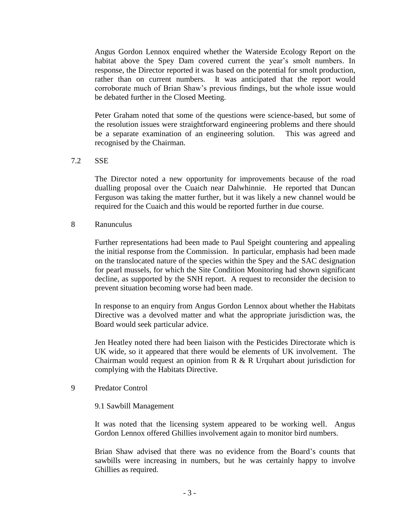Angus Gordon Lennox enquired whether the Waterside Ecology Report on the habitat above the Spey Dam covered current the year's smolt numbers. In response, the Director reported it was based on the potential for smolt production, rather than on current numbers. It was anticipated that the report would corroborate much of Brian Shaw's previous findings, but the whole issue would be debated further in the Closed Meeting.

Peter Graham noted that some of the questions were science-based, but some of the resolution issues were straightforward engineering problems and there should be a separate examination of an engineering solution. This was agreed and recognised by the Chairman.

#### 7.2 SSE

The Director noted a new opportunity for improvements because of the road dualling proposal over the Cuaich near Dalwhinnie. He reported that Duncan Ferguson was taking the matter further, but it was likely a new channel would be required for the Cuaich and this would be reported further in due course.

#### 8 Ranunculus

Further representations had been made to Paul Speight countering and appealing the initial response from the Commission. In particular, emphasis had been made on the translocated nature of the species within the Spey and the SAC designation for pearl mussels, for which the Site Condition Monitoring had shown significant decline, as supported by the SNH report. A request to reconsider the decision to prevent situation becoming worse had been made.

In response to an enquiry from Angus Gordon Lennox about whether the Habitats Directive was a devolved matter and what the appropriate jurisdiction was, the Board would seek particular advice.

Jen Heatley noted there had been liaison with the Pesticides Directorate which is UK wide, so it appeared that there would be elements of UK involvement. The Chairman would request an opinion from  $R \& R$  Urquhart about jurisdiction for complying with the Habitats Directive.

#### 9 Predator Control

#### 9.1 Sawbill Management

It was noted that the licensing system appeared to be working well. Angus Gordon Lennox offered Ghillies involvement again to monitor bird numbers.

Brian Shaw advised that there was no evidence from the Board's counts that sawbills were increasing in numbers, but he was certainly happy to involve Ghillies as required.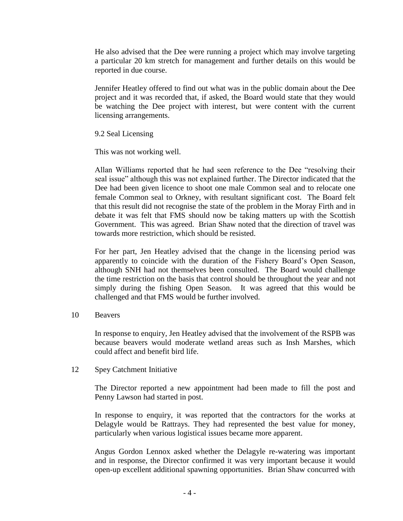He also advised that the Dee were running a project which may involve targeting a particular 20 km stretch for management and further details on this would be reported in due course.

Jennifer Heatley offered to find out what was in the public domain about the Dee project and it was recorded that, if asked, the Board would state that they would be watching the Dee project with interest, but were content with the current licensing arrangements.

9.2 Seal Licensing

This was not working well.

Allan Williams reported that he had seen reference to the Dee "resolving their seal issue" although this was not explained further. The Director indicated that the Dee had been given licence to shoot one male Common seal and to relocate one female Common seal to Orkney, with resultant significant cost. The Board felt that this result did not recognise the state of the problem in the Moray Firth and in debate it was felt that FMS should now be taking matters up with the Scottish Government. This was agreed. Brian Shaw noted that the direction of travel was towards more restriction, which should be resisted.

For her part, Jen Heatley advised that the change in the licensing period was apparently to coincide with the duration of the Fishery Board's Open Season, although SNH had not themselves been consulted. The Board would challenge the time restriction on the basis that control should be throughout the year and not simply during the fishing Open Season. It was agreed that this would be challenged and that FMS would be further involved.

10 Beavers

In response to enquiry, Jen Heatley advised that the involvement of the RSPB was because beavers would moderate wetland areas such as Insh Marshes, which could affect and benefit bird life.

#### 12 Spey Catchment Initiative

The Director reported a new appointment had been made to fill the post and Penny Lawson had started in post.

In response to enquiry, it was reported that the contractors for the works at Delagyle would be Rattrays. They had represented the best value for money, particularly when various logistical issues became more apparent.

Angus Gordon Lennox asked whether the Delagyle re-watering was important and in response, the Director confirmed it was very important because it would open-up excellent additional spawning opportunities. Brian Shaw concurred with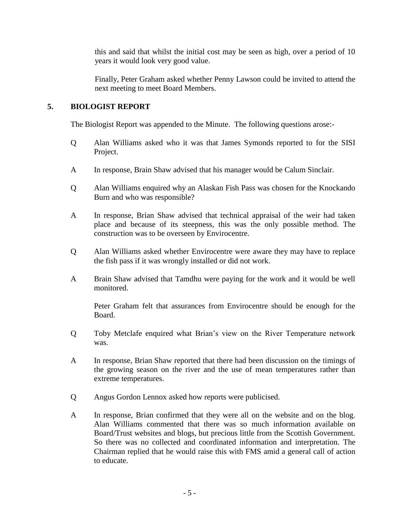this and said that whilst the initial cost may be seen as high, over a period of 10 years it would look very good value.

Finally, Peter Graham asked whether Penny Lawson could be invited to attend the next meeting to meet Board Members.

### **5. BIOLOGIST REPORT**

The Biologist Report was appended to the Minute. The following questions arose:-

- Q Alan Williams asked who it was that James Symonds reported to for the SISI Project.
- A In response, Brain Shaw advised that his manager would be Calum Sinclair.
- Q Alan Williams enquired why an Alaskan Fish Pass was chosen for the Knockando Burn and who was responsible?
- A In response, Brian Shaw advised that technical appraisal of the weir had taken place and because of its steepness, this was the only possible method. The construction was to be overseen by Envirocentre.
- Q Alan Williams asked whether Envirocentre were aware they may have to replace the fish pass if it was wrongly installed or did not work.
- A Brain Shaw advised that Tamdhu were paying for the work and it would be well monitored.

Peter Graham felt that assurances from Envirocentre should be enough for the Board.

- Q Toby Metclafe enquired what Brian's view on the River Temperature network was.
- A In response, Brian Shaw reported that there had been discussion on the timings of the growing season on the river and the use of mean temperatures rather than extreme temperatures.
- Q Angus Gordon Lennox asked how reports were publicised.
- A In response, Brian confirmed that they were all on the website and on the blog. Alan Williams commented that there was so much information available on Board/Trust websites and blogs, but precious little from the Scottish Government. So there was no collected and coordinated information and interpretation. The Chairman replied that he would raise this with FMS amid a general call of action to educate.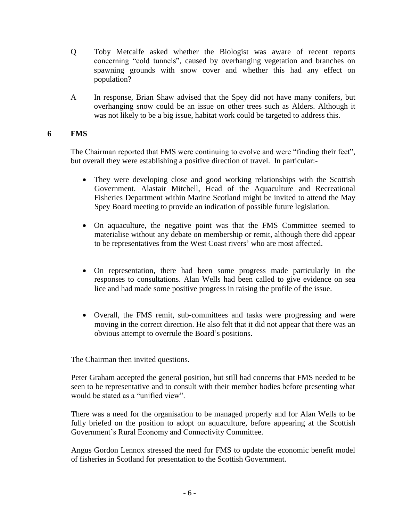- Q Toby Metcalfe asked whether the Biologist was aware of recent reports concerning "cold tunnels", caused by overhanging vegetation and branches on spawning grounds with snow cover and whether this had any effect on population?
- A In response, Brian Shaw advised that the Spey did not have many conifers, but overhanging snow could be an issue on other trees such as Alders. Although it was not likely to be a big issue, habitat work could be targeted to address this.

## **6 FMS**

The Chairman reported that FMS were continuing to evolve and were "finding their feet", but overall they were establishing a positive direction of travel. In particular:-

- They were developing close and good working relationships with the Scottish Government. Alastair Mitchell, Head of the Aquaculture and Recreational Fisheries Department within Marine Scotland might be invited to attend the May Spey Board meeting to provide an indication of possible future legislation.
- On aquaculture, the negative point was that the FMS Committee seemed to materialise without any debate on membership or remit, although there did appear to be representatives from the West Coast rivers' who are most affected.
- On representation, there had been some progress made particularly in the responses to consultations. Alan Wells had been called to give evidence on sea lice and had made some positive progress in raising the profile of the issue.
- Overall, the FMS remit, sub-committees and tasks were progressing and were moving in the correct direction. He also felt that it did not appear that there was an obvious attempt to overrule the Board's positions.

The Chairman then invited questions.

Peter Graham accepted the general position, but still had concerns that FMS needed to be seen to be representative and to consult with their member bodies before presenting what would be stated as a "unified view".

There was a need for the organisation to be managed properly and for Alan Wells to be fully briefed on the position to adopt on aquaculture, before appearing at the Scottish Government's Rural Economy and Connectivity Committee.

Angus Gordon Lennox stressed the need for FMS to update the economic benefit model of fisheries in Scotland for presentation to the Scottish Government.